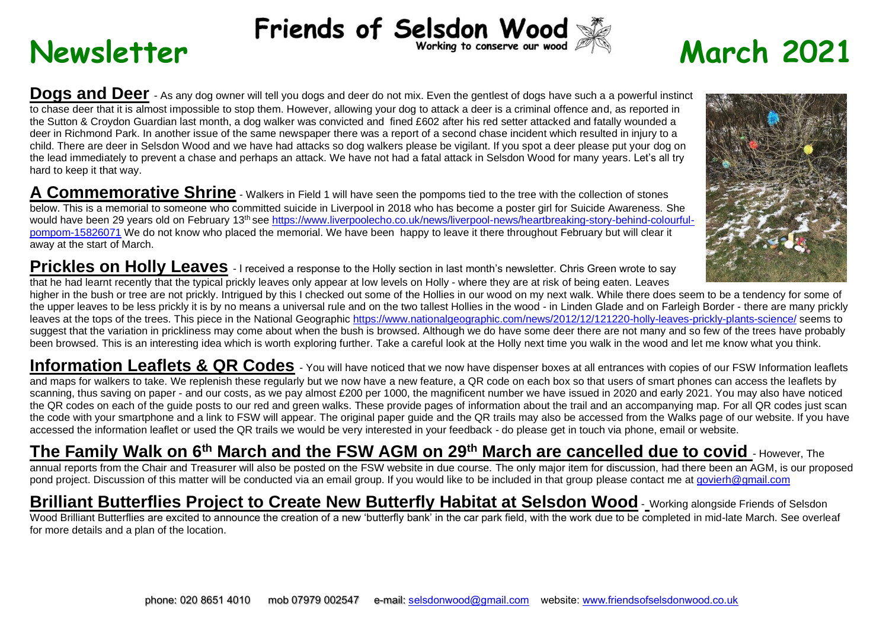# Rewsletter Friends of Selsdon Wood<br>Newsletter **March** 2021

**Dogs and Deer** - As any dog owner will tell you dogs and deer do not mix. Even the gentlest of dogs have such a a powerful instinct to chase deer that it is almost impossible to stop them. However, allowing your dog to attack a deer is a criminal offence and, as reported in the Sutton & Croydon Guardian last month, a dog walker was convicted and fined £602 after his red setter attacked and fatally wounded a deer in Richmond Park. In another issue of the same newspaper there was a report of a second chase incident which resulted in injury to a child. There are deer in Selsdon Wood and we have had attacks so dog walkers please be vigilant. If you spot a deer please put your dog on the lead immediately to prevent a chase and perhaps an attack. We have not had a fatal attack in Selsdon Wood for many years. Let's all try hard to keep it that way.

**A Commemorative Shrine** - Walkers in Field 1 will have seen the pompoms tied to the tree with the collection of stones below. This is a memorial to someone who committed suicide in Liverpool in 2018 who has become a poster girl for Suicide Awareness. She would have been 29 years old on February 13th see [https://www.liverpoolecho.co.uk/news/liverpool-news/heartbreaking-story-behind-colourful](https://www.liverpoolecho.co.uk/news/liverpool-news/heartbreaking-story-behind-colourful-pompom-15826071)[pompom-15826071](https://www.liverpoolecho.co.uk/news/liverpool-news/heartbreaking-story-behind-colourful-pompom-15826071) We do not know who placed the memorial. We have been happy to leave it there throughout February but will clear it away at the start of March.

**Prickles on Holly Leaves** - I received a response to the Holly section in last month's newsletter. Chris Green wrote to say that he had learnt recently that the typical prickly leaves only appear at low levels on Holly - where they are at risk of being eaten. Leaves

higher in the bush or tree are not prickly. Intrigued by this I checked out some of the Hollies in our wood on my next walk. While there does seem to be a tendency for some of the upper leaves to be less prickly it is by no means a universal rule and on the two tallest Hollies in the wood - in Linden Glade and on Farleigh Border - there are many prickly leaves at the tops of the trees. This piece in the National Geographic <https://www.nationalgeographic.com/news/2012/12/121220-holly-leaves-prickly-plants-science/> seems to suggest that the variation in prickliness may come about when the bush is browsed. Although we do have some deer there are not many and so few of the trees have probably been browsed. This is an interesting idea which is worth exploring further. Take a careful look at the Holly next time you walk in the wood and let me know what you think.

Information Leaflets & QR Codes - You will have noticed that we now have dispenser boxes at all entrances with copies of our FSW Information leaflets and maps for walkers to take. We replenish these regularly but we now have a new feature, a QR code on each box so that users of smart phones can access the leaflets by scanning, thus saving on paper - and our costs, as we pay almost £200 per 1000, the magnificent number we have issued in 2020 and early 2021. You may also have noticed the QR codes on each of the guide posts to our red and green walks. These provide pages of information about the trail and an accompanying map. For all QR codes just scan the code with your smartphone and a link to FSW will appear. The original paper guide and the QR trails may also be accessed from the Walks page of our website. If you have accessed the information leaflet or used the QR trails we would be very interested in your feedback - do please get in touch via phone, email or website.

## **The Family Walk on 6th March and the FSW AGM on 29th March are cancelled due to covid** - However, The

annual reports from the Chair and Treasurer will also be posted on the FSW website in due course. The only major item for discussion, had there been an AGM, is our proposed pond project. Discussion of this matter will be conducted via an email group. If you would like to be included in that group please contact me at [govierh@gmail.com](mailto:govierh@gmail.com)

#### **Brilliant Butterflies Project to Create New Butterfly Habitat at Selsdon Wood** - Working alongside Friends of Selsdon Wood Brilliant Butterflies are excited to announce the creation of a new 'butterfly bank' in the car park field, with the work due to be completed in mid-late March. See overleaf for more details and a plan of the location.